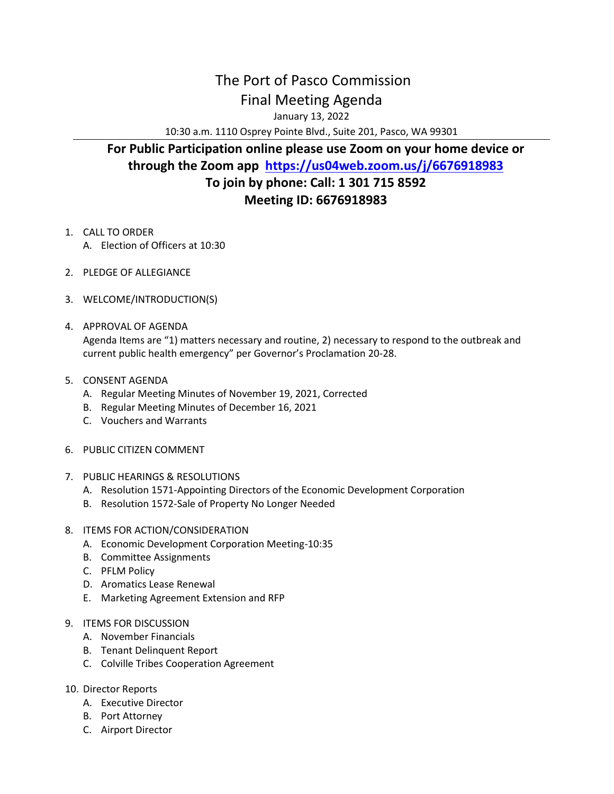## The Port of Pasco Commission Final Meeting Agenda

January 13, 2022

10:30 a.m. 1110 Osprey Pointe Blvd., Suite 201, Pasco, WA 99301

## **For Public Participation online please use Zoom on your home device or through the Zoom app <https://us04web.zoom.us/j/6676918983> To join by phone: Call: 1 301 715 8592 Meeting ID: 6676918983**

- 1. CALL TO ORDER
	- A. Election of Officers at 10:30
- 2. PLEDGE OF ALLEGIANCE
- 3. WELCOME/INTRODUCTION(S)
- 4. APPROVAL OF AGENDA Agenda Items are "1) matters necessary and routine, 2) necessary to respond to the outbreak and current public health emergency" per Governor's Proclamation 20-28.
- 5. CONSENT AGENDA
	- A. Regular Meeting Minutes of November 19, 2021, Corrected
	- B. Regular Meeting Minutes of December 16, 2021
	- C. Vouchers and Warrants
- 6. PUBLIC CITIZEN COMMENT
- 7. PUBLIC HEARINGS & RESOLUTIONS
	- A. Resolution 1571-Appointing Directors of the Economic Development Corporation
	- B. Resolution 1572-Sale of Property No Longer Needed
- 8. ITEMS FOR ACTION/CONSIDERATION
	- A. Economic Development Corporation Meeting-10:35
	- B. Committee Assignments
	- C. PFLM Policy
	- D. Aromatics Lease Renewal
	- E. Marketing Agreement Extension and RFP
- 9. ITEMS FOR DISCUSSION
	- A. November Financials
	- B. Tenant Delinquent Report
	- C. Colville Tribes Cooperation Agreement
- 10. Director Reports
	- A. Executive Director
	- B. Port Attorney
	- C. Airport Director